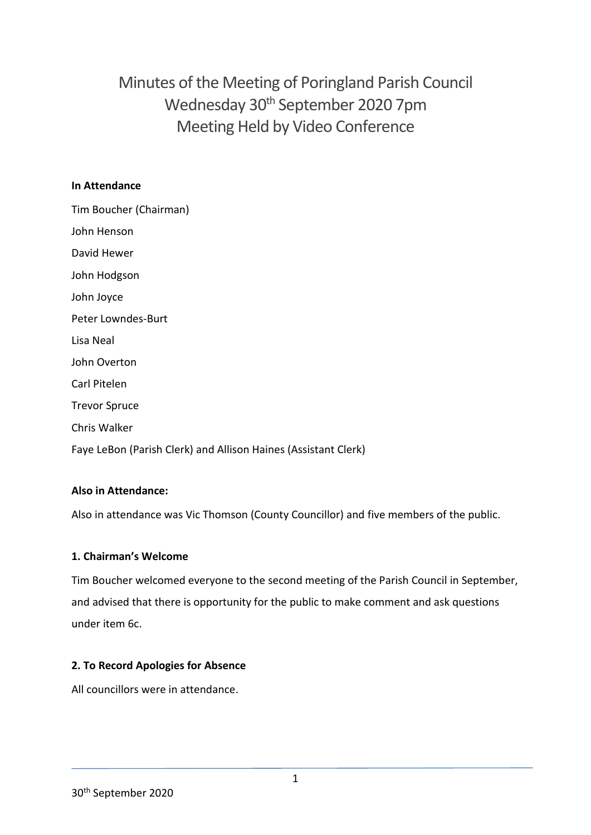Minutes of the Meeting of Poringland Parish Council Wednesday 30<sup>th</sup> September 2020 7pm Meeting Held by Video Conference

### **In Attendance**

| Tim Boucher (Chairman)                                         |
|----------------------------------------------------------------|
| John Henson                                                    |
| David Hewer                                                    |
| John Hodgson                                                   |
| John Joyce                                                     |
| Peter Lowndes-Burt                                             |
| Lisa Neal                                                      |
| John Overton                                                   |
| Carl Pitelen                                                   |
| <b>Trevor Spruce</b>                                           |
| <b>Chris Walker</b>                                            |
| Faye LeBon (Parish Clerk) and Allison Haines (Assistant Clerk) |

# **Also in Attendance:**

Also in attendance was Vic Thomson (County Councillor) and five members of the public.

### **1. Chairman's Welcome**

Tim Boucher welcomed everyone to the second meeting of the Parish Council in September, and advised that there is opportunity for the public to make comment and ask questions under item 6c.

### **2. To Record Apologies for Absence**

All councillors were in attendance.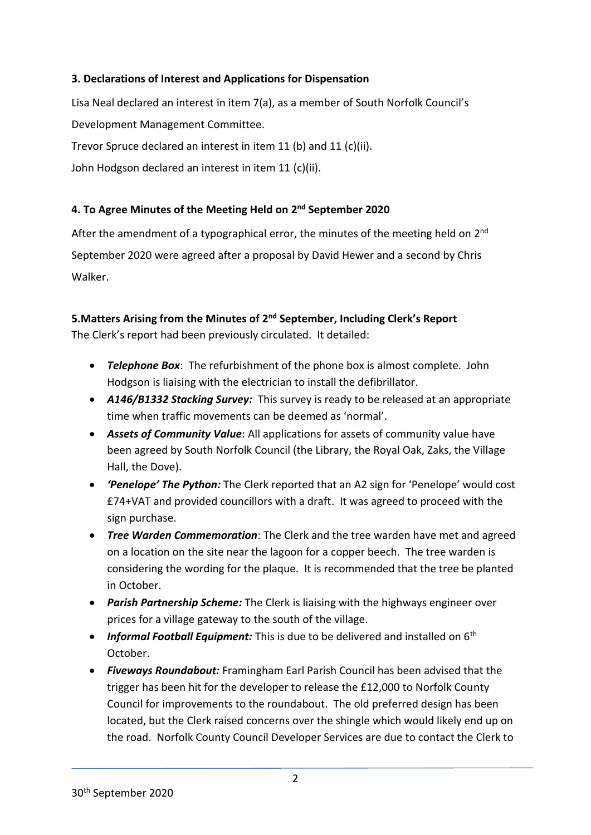## **3. Declarations of Interest and Applications for Dispensation**

Lisa Neal declared an interest in item 7(a), as a member of South Norfolk Council's Development Management Committee. Trevor Spruce declared an interest in item 11 (b) and 11 (c)(ii). John Hodgson declared an interest in item 11 (c)(ii).

## **4. To Agree Minutes of the Meeting Held on 2 nd September 2020**

After the amendment of a typographical error, the minutes of the meeting held on 2<sup>nd</sup> September 2020 were agreed after a proposal by David Hewer and a second by Chris Walker.

# **5.Matters Arising from the Minutes of 2 nd September, Including Clerk's Report**

The Clerk's report had been previously circulated. It detailed:

- *Telephone Box*: The refurbishment of the phone box is almost complete. John Hodgson is liaising with the electrician to install the defibrillator.
- *A146/B1332 Stacking Survey:* This survey is ready to be released at an appropriate time when traffic movements can be deemed as 'normal'.
- *Assets of Community Value*: All applications for assets of community value have been agreed by South Norfolk Council (the Library, the Royal Oak, Zaks, the Village Hall, the Dove).
- *'Penelope' The Python:* The Clerk reported that an A2 sign for 'Penelope' would cost £74+VAT and provided councillors with a draft. It was agreed to proceed with the sign purchase.
- *Tree Warden Commemoration*: The Clerk and the tree warden have met and agreed on a location on the site near the lagoon for a copper beech. The tree warden is considering the wording for the plaque. It is recommended that the tree be planted in October.
- *Parish Partnership Scheme:* The Clerk is liaising with the highways engineer over prices for a village gateway to the south of the village.
- *Informal Football Equipment:* This is due to be delivered and installed on 6th October.
- *Fiveways Roundabout:* Framingham Earl Parish Council has been advised that the trigger has been hit for the developer to release the £12,000 to Norfolk County Council for improvements to the roundabout. The old preferred design has been located, but the Clerk raised concerns over the shingle which would likely end up on the road. Norfolk County Council Developer Services are due to contact the Clerk to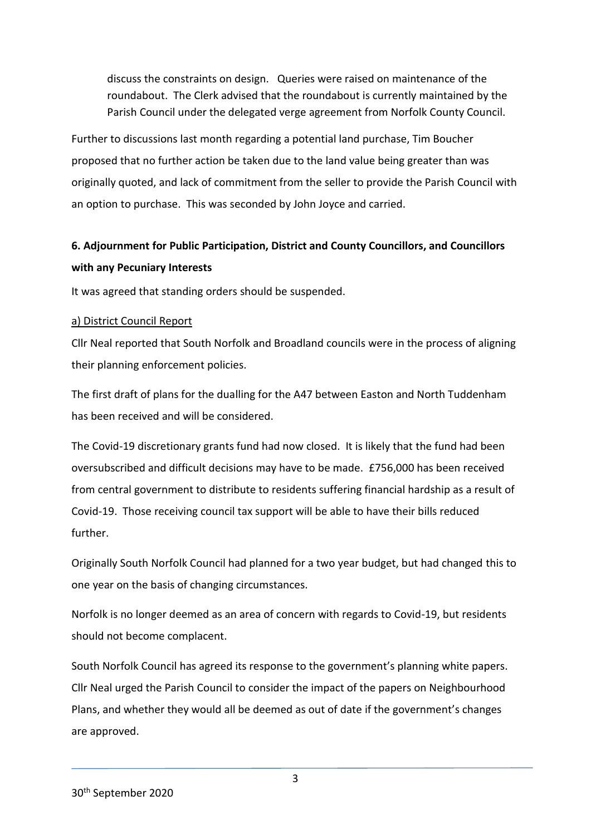discuss the constraints on design. Queries were raised on maintenance of the roundabout. The Clerk advised that the roundabout is currently maintained by the Parish Council under the delegated verge agreement from Norfolk County Council.

Further to discussions last month regarding a potential land purchase, Tim Boucher proposed that no further action be taken due to the land value being greater than was originally quoted, and lack of commitment from the seller to provide the Parish Council with an option to purchase. This was seconded by John Joyce and carried.

# **6. Adjournment for Public Participation, District and County Councillors, and Councillors with any Pecuniary Interests**

It was agreed that standing orders should be suspended.

#### a) District Council Report

Cllr Neal reported that South Norfolk and Broadland councils were in the process of aligning their planning enforcement policies.

The first draft of plans for the dualling for the A47 between Easton and North Tuddenham has been received and will be considered.

The Covid-19 discretionary grants fund had now closed. It is likely that the fund had been oversubscribed and difficult decisions may have to be made. £756,000 has been received from central government to distribute to residents suffering financial hardship as a result of Covid-19. Those receiving council tax support will be able to have their bills reduced further.

Originally South Norfolk Council had planned for a two year budget, but had changed this to one year on the basis of changing circumstances.

Norfolk is no longer deemed as an area of concern with regards to Covid-19, but residents should not become complacent.

South Norfolk Council has agreed its response to the government's planning white papers. Cllr Neal urged the Parish Council to consider the impact of the papers on Neighbourhood Plans, and whether they would all be deemed as out of date if the government's changes are approved.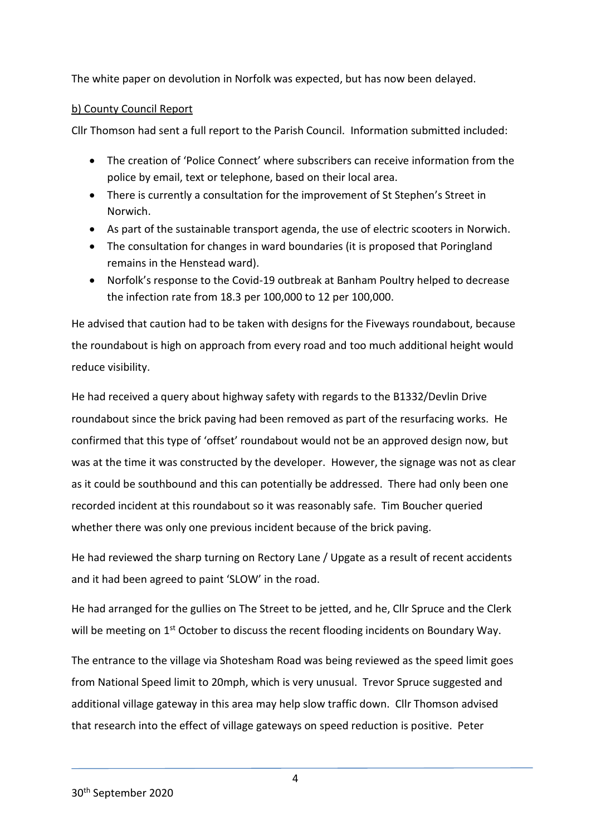The white paper on devolution in Norfolk was expected, but has now been delayed.

### b) County Council Report

Cllr Thomson had sent a full report to the Parish Council. Information submitted included:

- The creation of 'Police Connect' where subscribers can receive information from the police by email, text or telephone, based on their local area.
- There is currently a consultation for the improvement of St Stephen's Street in Norwich.
- As part of the sustainable transport agenda, the use of electric scooters in Norwich.
- The consultation for changes in ward boundaries (it is proposed that Poringland remains in the Henstead ward).
- Norfolk's response to the Covid-19 outbreak at Banham Poultry helped to decrease the infection rate from 18.3 per 100,000 to 12 per 100,000.

He advised that caution had to be taken with designs for the Fiveways roundabout, because the roundabout is high on approach from every road and too much additional height would reduce visibility.

He had received a query about highway safety with regards to the B1332/Devlin Drive roundabout since the brick paving had been removed as part of the resurfacing works. He confirmed that this type of 'offset' roundabout would not be an approved design now, but was at the time it was constructed by the developer. However, the signage was not as clear as it could be southbound and this can potentially be addressed. There had only been one recorded incident at this roundabout so it was reasonably safe. Tim Boucher queried whether there was only one previous incident because of the brick paving.

He had reviewed the sharp turning on Rectory Lane / Upgate as a result of recent accidents and it had been agreed to paint 'SLOW' in the road.

He had arranged for the gullies on The Street to be jetted, and he, Cllr Spruce and the Clerk will be meeting on 1<sup>st</sup> October to discuss the recent flooding incidents on Boundary Way.

The entrance to the village via Shotesham Road was being reviewed as the speed limit goes from National Speed limit to 20mph, which is very unusual. Trevor Spruce suggested and additional village gateway in this area may help slow traffic down. Cllr Thomson advised that research into the effect of village gateways on speed reduction is positive. Peter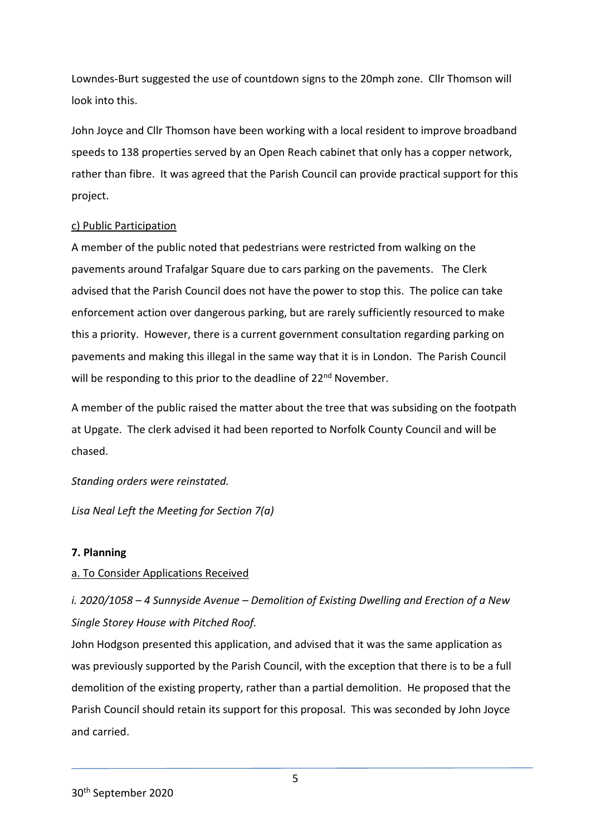Lowndes-Burt suggested the use of countdown signs to the 20mph zone. Cllr Thomson will look into this.

John Joyce and Cllr Thomson have been working with a local resident to improve broadband speeds to 138 properties served by an Open Reach cabinet that only has a copper network, rather than fibre. It was agreed that the Parish Council can provide practical support for this project.

#### c) Public Participation

A member of the public noted that pedestrians were restricted from walking on the pavements around Trafalgar Square due to cars parking on the pavements. The Clerk advised that the Parish Council does not have the power to stop this. The police can take enforcement action over dangerous parking, but are rarely sufficiently resourced to make this a priority. However, there is a current government consultation regarding parking on pavements and making this illegal in the same way that it is in London. The Parish Council will be responding to this prior to the deadline of 22<sup>nd</sup> November.

A member of the public raised the matter about the tree that was subsiding on the footpath at Upgate. The clerk advised it had been reported to Norfolk County Council and will be chased.

### *Standing orders were reinstated.*

*Lisa Neal Left the Meeting for Section 7(a)* 

### **7. Planning**

### a. To Consider Applications Received

# *i. 2020/1058 – 4 Sunnyside Avenue – Demolition of Existing Dwelling and Erection of a New Single Storey House with Pitched Roof.*

John Hodgson presented this application, and advised that it was the same application as was previously supported by the Parish Council, with the exception that there is to be a full demolition of the existing property, rather than a partial demolition. He proposed that the Parish Council should retain its support for this proposal. This was seconded by John Joyce and carried.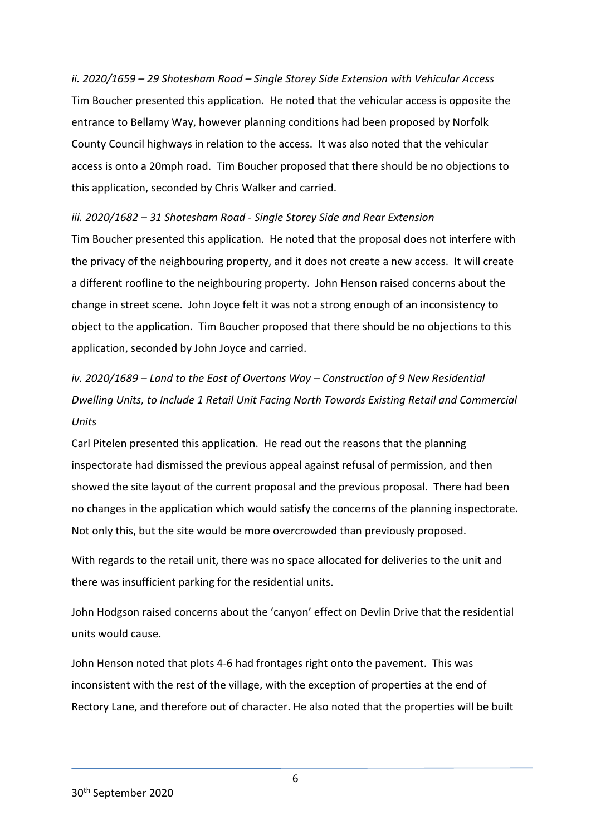*ii. 2020/1659 – 29 Shotesham Road – Single Storey Side Extension with Vehicular Access* Tim Boucher presented this application. He noted that the vehicular access is opposite the entrance to Bellamy Way, however planning conditions had been proposed by Norfolk County Council highways in relation to the access. It was also noted that the vehicular access is onto a 20mph road. Tim Boucher proposed that there should be no objections to this application, seconded by Chris Walker and carried.

*iii. 2020/1682 – 31 Shotesham Road - Single Storey Side and Rear Extension*  Tim Boucher presented this application. He noted that the proposal does not interfere with the privacy of the neighbouring property, and it does not create a new access. It will create a different roofline to the neighbouring property. John Henson raised concerns about the change in street scene. John Joyce felt it was not a strong enough of an inconsistency to object to the application. Tim Boucher proposed that there should be no objections to this application, seconded by John Joyce and carried.

*iv. 2020/1689 – Land to the East of Overtons Way – Construction of 9 New Residential Dwelling Units, to Include 1 Retail Unit Facing North Towards Existing Retail and Commercial Units* 

Carl Pitelen presented this application. He read out the reasons that the planning inspectorate had dismissed the previous appeal against refusal of permission, and then showed the site layout of the current proposal and the previous proposal. There had been no changes in the application which would satisfy the concerns of the planning inspectorate. Not only this, but the site would be more overcrowded than previously proposed.

With regards to the retail unit, there was no space allocated for deliveries to the unit and there was insufficient parking for the residential units.

John Hodgson raised concerns about the 'canyon' effect on Devlin Drive that the residential units would cause.

John Henson noted that plots 4-6 had frontages right onto the pavement. This was inconsistent with the rest of the village, with the exception of properties at the end of Rectory Lane, and therefore out of character. He also noted that the properties will be built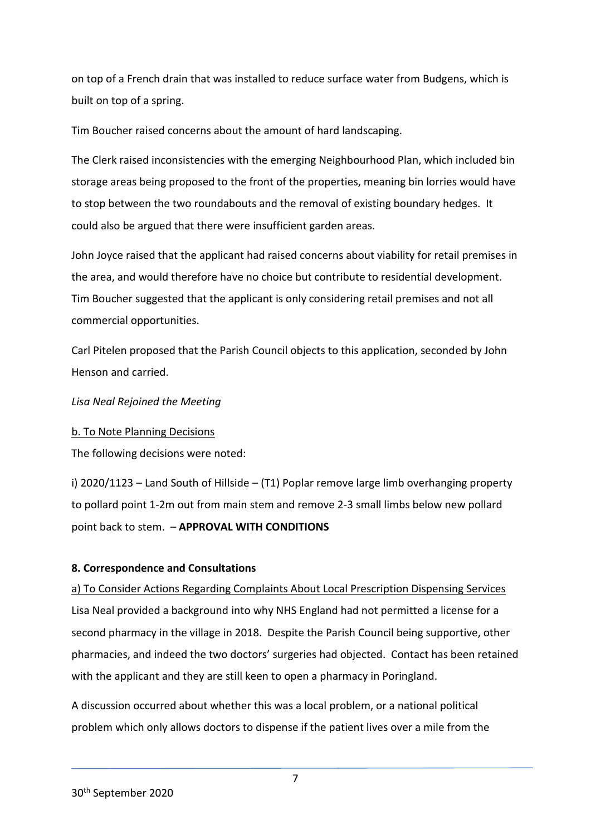on top of a French drain that was installed to reduce surface water from Budgens, which is built on top of a spring.

Tim Boucher raised concerns about the amount of hard landscaping.

The Clerk raised inconsistencies with the emerging Neighbourhood Plan, which included bin storage areas being proposed to the front of the properties, meaning bin lorries would have to stop between the two roundabouts and the removal of existing boundary hedges. It could also be argued that there were insufficient garden areas.

John Joyce raised that the applicant had raised concerns about viability for retail premises in the area, and would therefore have no choice but contribute to residential development. Tim Boucher suggested that the applicant is only considering retail premises and not all commercial opportunities.

Carl Pitelen proposed that the Parish Council objects to this application, seconded by John Henson and carried.

*Lisa Neal Rejoined the Meeting*

### b. To Note Planning Decisions

The following decisions were noted:

i) 2020/1123 – Land South of Hillside – (T1) Poplar remove large limb overhanging property to pollard point 1-2m out from main stem and remove 2-3 small limbs below new pollard point back to stem. – **APPROVAL WITH CONDITIONS**

### **8. Correspondence and Consultations**

a) To Consider Actions Regarding Complaints About Local Prescription Dispensing Services Lisa Neal provided a background into why NHS England had not permitted a license for a second pharmacy in the village in 2018. Despite the Parish Council being supportive, other pharmacies, and indeed the two doctors' surgeries had objected. Contact has been retained with the applicant and they are still keen to open a pharmacy in Poringland.

A discussion occurred about whether this was a local problem, or a national political problem which only allows doctors to dispense if the patient lives over a mile from the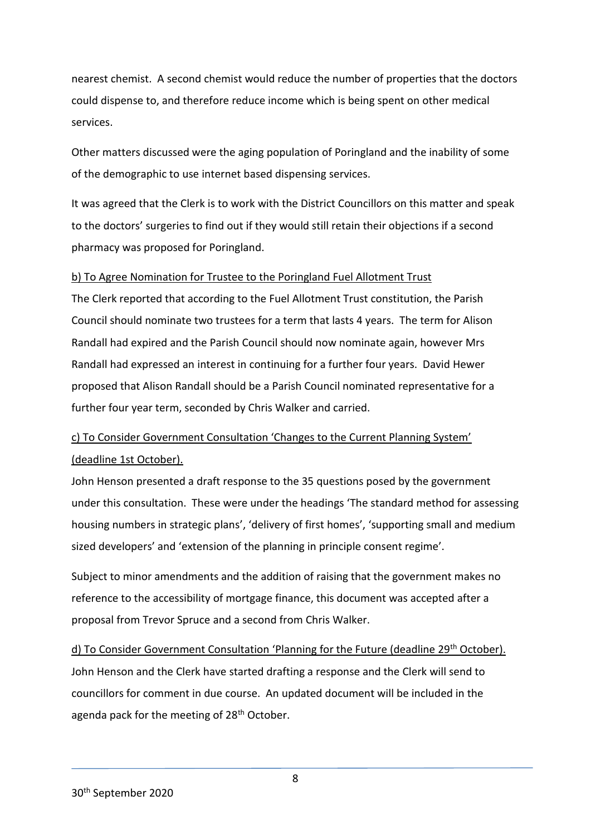nearest chemist. A second chemist would reduce the number of properties that the doctors could dispense to, and therefore reduce income which is being spent on other medical services.

Other matters discussed were the aging population of Poringland and the inability of some of the demographic to use internet based dispensing services.

It was agreed that the Clerk is to work with the District Councillors on this matter and speak to the doctors' surgeries to find out if they would still retain their objections if a second pharmacy was proposed for Poringland.

### b) To Agree Nomination for Trustee to the Poringland Fuel Allotment Trust

The Clerk reported that according to the Fuel Allotment Trust constitution, the Parish Council should nominate two trustees for a term that lasts 4 years. The term for Alison Randall had expired and the Parish Council should now nominate again, however Mrs Randall had expressed an interest in continuing for a further four years. David Hewer proposed that Alison Randall should be a Parish Council nominated representative for a further four year term, seconded by Chris Walker and carried.

# c) To Consider Government Consultation 'Changes to the Current Planning System' (deadline 1st October).

John Henson presented a draft response to the 35 questions posed by the government under this consultation. These were under the headings 'The standard method for assessing housing numbers in strategic plans', 'delivery of first homes', 'supporting small and medium sized developers' and 'extension of the planning in principle consent regime'.

Subject to minor amendments and the addition of raising that the government makes no reference to the accessibility of mortgage finance, this document was accepted after a proposal from Trevor Spruce and a second from Chris Walker.

d) To Consider Government Consultation 'Planning for the Future (deadline 29<sup>th</sup> October). John Henson and the Clerk have started drafting a response and the Clerk will send to councillors for comment in due course. An updated document will be included in the agenda pack for the meeting of 28<sup>th</sup> October.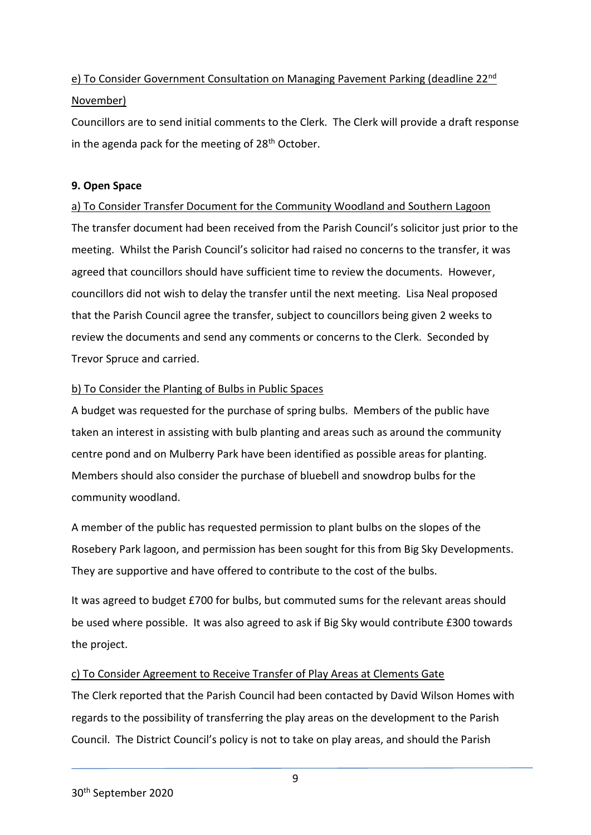# e) To Consider Government Consultation on Managing Pavement Parking (deadline 22nd November)

Councillors are to send initial comments to the Clerk. The Clerk will provide a draft response in the agenda pack for the meeting of  $28<sup>th</sup>$  October.

## **9. Open Space**

a) To Consider Transfer Document for the Community Woodland and Southern Lagoon The transfer document had been received from the Parish Council's solicitor just prior to the meeting. Whilst the Parish Council's solicitor had raised no concerns to the transfer, it was agreed that councillors should have sufficient time to review the documents. However, councillors did not wish to delay the transfer until the next meeting. Lisa Neal proposed that the Parish Council agree the transfer, subject to councillors being given 2 weeks to review the documents and send any comments or concerns to the Clerk. Seconded by Trevor Spruce and carried.

## b) To Consider the Planting of Bulbs in Public Spaces

A budget was requested for the purchase of spring bulbs. Members of the public have taken an interest in assisting with bulb planting and areas such as around the community centre pond and on Mulberry Park have been identified as possible areas for planting. Members should also consider the purchase of bluebell and snowdrop bulbs for the community woodland.

A member of the public has requested permission to plant bulbs on the slopes of the Rosebery Park lagoon, and permission has been sought for this from Big Sky Developments. They are supportive and have offered to contribute to the cost of the bulbs.

It was agreed to budget £700 for bulbs, but commuted sums for the relevant areas should be used where possible. It was also agreed to ask if Big Sky would contribute £300 towards the project.

# c) To Consider Agreement to Receive Transfer of Play Areas at Clements Gate

The Clerk reported that the Parish Council had been contacted by David Wilson Homes with regards to the possibility of transferring the play areas on the development to the Parish Council. The District Council's policy is not to take on play areas, and should the Parish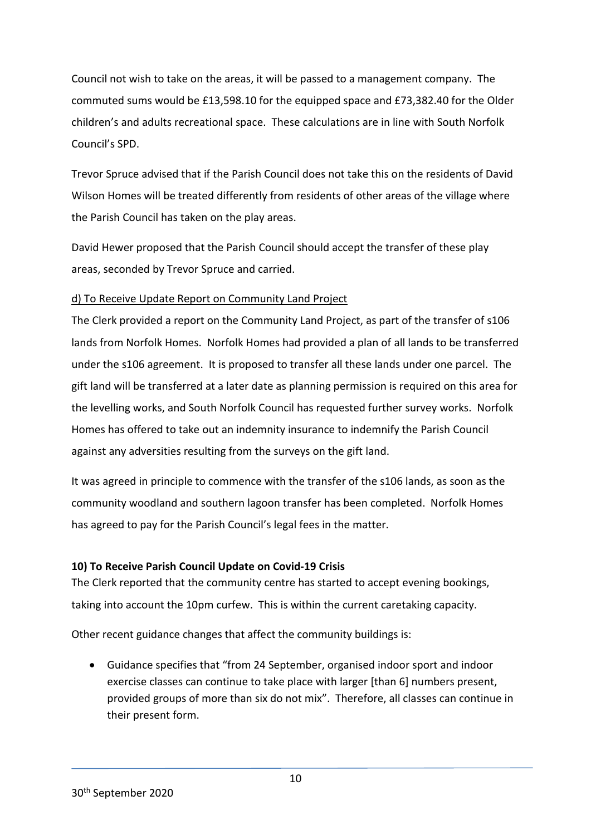Council not wish to take on the areas, it will be passed to a management company. The commuted sums would be £13,598.10 for the equipped space and £73,382.40 for the Older children's and adults recreational space. These calculations are in line with South Norfolk Council's SPD.

Trevor Spruce advised that if the Parish Council does not take this on the residents of David Wilson Homes will be treated differently from residents of other areas of the village where the Parish Council has taken on the play areas.

David Hewer proposed that the Parish Council should accept the transfer of these play areas, seconded by Trevor Spruce and carried.

### d) To Receive Update Report on Community Land Project

The Clerk provided a report on the Community Land Project, as part of the transfer of s106 lands from Norfolk Homes. Norfolk Homes had provided a plan of all lands to be transferred under the s106 agreement. It is proposed to transfer all these lands under one parcel. The gift land will be transferred at a later date as planning permission is required on this area for the levelling works, and South Norfolk Council has requested further survey works. Norfolk Homes has offered to take out an indemnity insurance to indemnify the Parish Council against any adversities resulting from the surveys on the gift land.

It was agreed in principle to commence with the transfer of the s106 lands, as soon as the community woodland and southern lagoon transfer has been completed. Norfolk Homes has agreed to pay for the Parish Council's legal fees in the matter.

# **10) To Receive Parish Council Update on Covid-19 Crisis**

The Clerk reported that the community centre has started to accept evening bookings, taking into account the 10pm curfew. This is within the current caretaking capacity.

Other recent guidance changes that affect the community buildings is:

 Guidance specifies that "from 24 September, organised indoor sport and indoor exercise classes can continue to take place with larger [than 6] numbers present, provided groups of more than six do not mix". Therefore, all classes can continue in their present form.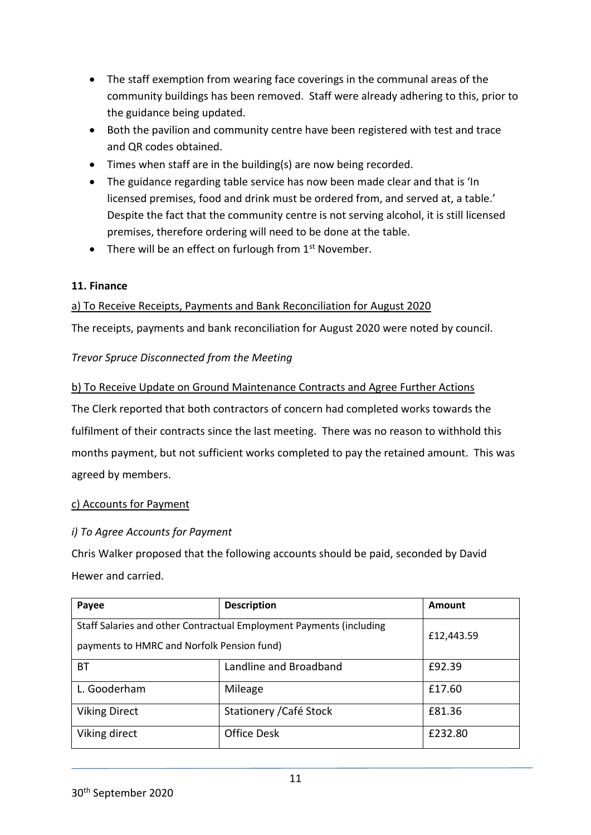- The staff exemption from wearing face coverings in the communal areas of the community buildings has been removed. Staff were already adhering to this, prior to the guidance being updated.
- Both the pavilion and community centre have been registered with test and trace and QR codes obtained.
- Times when staff are in the building(s) are now being recorded.
- The guidance regarding table service has now been made clear and that is 'In licensed premises, food and drink must be ordered from, and served at, a table.' Despite the fact that the community centre is not serving alcohol, it is still licensed premises, therefore ordering will need to be done at the table.
- There will be an effect on furlough from  $1<sup>st</sup>$  November.

# **11. Finance**

# a) To Receive Receipts, Payments and Bank Reconciliation for August 2020

The receipts, payments and bank reconciliation for August 2020 were noted by council.

# *Trevor Spruce Disconnected from the Meeting*

# b) To Receive Update on Ground Maintenance Contracts and Agree Further Actions

The Clerk reported that both contractors of concern had completed works towards the fulfilment of their contracts since the last meeting. There was no reason to withhold this months payment, but not sufficient works completed to pay the retained amount. This was agreed by members.

# c) Accounts for Payment

# *i) To Agree Accounts for Payment*

Chris Walker proposed that the following accounts should be paid, seconded by David Hewer and carried.

| Payee                                                               | <b>Description</b>      | Amount     |
|---------------------------------------------------------------------|-------------------------|------------|
| Staff Salaries and other Contractual Employment Payments (including |                         | £12,443.59 |
| payments to HMRC and Norfolk Pension fund)                          |                         |            |
| ВT                                                                  | Landline and Broadband  | £92.39     |
| L. Gooderham                                                        | Mileage                 | £17.60     |
| <b>Viking Direct</b>                                                | Stationery / Café Stock | £81.36     |
| Viking direct                                                       | <b>Office Desk</b>      | £232.80    |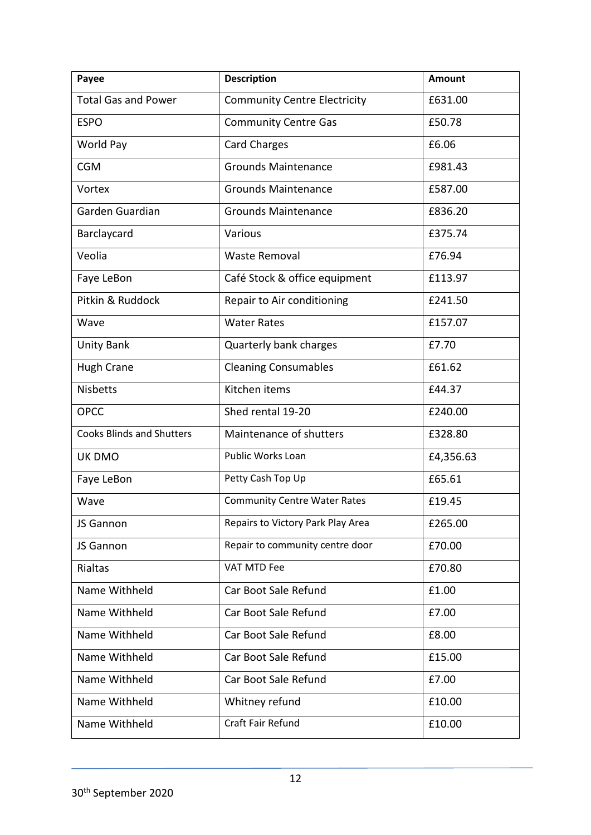| Payee                            | <b>Description</b>                  | <b>Amount</b> |
|----------------------------------|-------------------------------------|---------------|
| <b>Total Gas and Power</b>       | <b>Community Centre Electricity</b> | £631.00       |
| <b>ESPO</b>                      | <b>Community Centre Gas</b>         | £50.78        |
| World Pay                        | <b>Card Charges</b>                 | £6.06         |
| <b>CGM</b>                       | <b>Grounds Maintenance</b>          | £981.43       |
| Vortex                           | <b>Grounds Maintenance</b>          | £587.00       |
| Garden Guardian                  | <b>Grounds Maintenance</b>          | £836.20       |
| Barclaycard                      | Various                             | £375.74       |
| Veolia                           | Waste Removal                       | £76.94        |
| Faye LeBon                       | Café Stock & office equipment       | £113.97       |
| Pitkin & Ruddock                 | Repair to Air conditioning          | £241.50       |
| Wave                             | <b>Water Rates</b>                  | £157.07       |
| Unity Bank                       | Quarterly bank charges              | £7.70         |
| <b>Hugh Crane</b>                | <b>Cleaning Consumables</b>         | £61.62        |
| <b>Nisbetts</b>                  | Kitchen items                       | £44.37        |
| <b>OPCC</b>                      | Shed rental 19-20                   | £240.00       |
| <b>Cooks Blinds and Shutters</b> | Maintenance of shutters             | £328.80       |
| UK DMO                           | Public Works Loan                   | £4,356.63     |
| Faye LeBon                       | Petty Cash Top Up                   | £65.61        |
| Wave                             | <b>Community Centre Water Rates</b> | £19.45        |
| JS Gannon                        | Repairs to Victory Park Play Area   | £265.00       |
| JS Gannon                        | Repair to community centre door     | £70.00        |
| Rialtas                          | VAT MTD Fee                         | £70.80        |
| Name Withheld                    | Car Boot Sale Refund                | £1.00         |
| Name Withheld                    | Car Boot Sale Refund                | £7.00         |
| Name Withheld                    | Car Boot Sale Refund                | £8.00         |
| Name Withheld                    | Car Boot Sale Refund                | £15.00        |
| Name Withheld                    | Car Boot Sale Refund                | £7.00         |
| Name Withheld                    | Whitney refund                      | £10.00        |
| Name Withheld                    | Craft Fair Refund                   | £10.00        |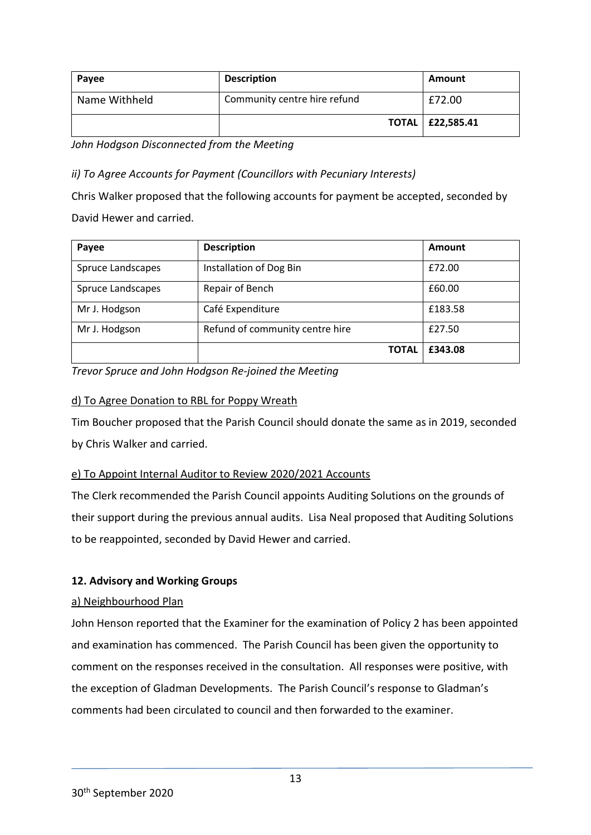| Payee         | <b>Description</b>           | Amount                    |
|---------------|------------------------------|---------------------------|
| Name Withheld | Community centre hire refund | £72.00                    |
|               |                              | <b>TOTAL   £22,585.41</b> |

*John Hodgson Disconnected from the Meeting*

*ii) To Agree Accounts for Payment (Councillors with Pecuniary Interests)*

Chris Walker proposed that the following accounts for payment be accepted, seconded by David Hewer and carried.

| Payee             | <b>Description</b>              | Amount  |
|-------------------|---------------------------------|---------|
| Spruce Landscapes | Installation of Dog Bin         | £72.00  |
| Spruce Landscapes | Repair of Bench                 | £60.00  |
| Mr J. Hodgson     | Café Expenditure                | £183.58 |
| Mr J. Hodgson     | Refund of community centre hire | £27.50  |
|                   | <b>TOTAL</b>                    | £343.08 |

*Trevor Spruce and John Hodgson Re-joined the Meeting*

## d) To Agree Donation to RBL for Poppy Wreath

Tim Boucher proposed that the Parish Council should donate the same as in 2019, seconded by Chris Walker and carried.

# e) To Appoint Internal Auditor to Review 2020/2021 Accounts

The Clerk recommended the Parish Council appoints Auditing Solutions on the grounds of their support during the previous annual audits. Lisa Neal proposed that Auditing Solutions to be reappointed, seconded by David Hewer and carried.

# **12. Advisory and Working Groups**

### a) Neighbourhood Plan

John Henson reported that the Examiner for the examination of Policy 2 has been appointed and examination has commenced. The Parish Council has been given the opportunity to comment on the responses received in the consultation. All responses were positive, with the exception of Gladman Developments. The Parish Council's response to Gladman's comments had been circulated to council and then forwarded to the examiner.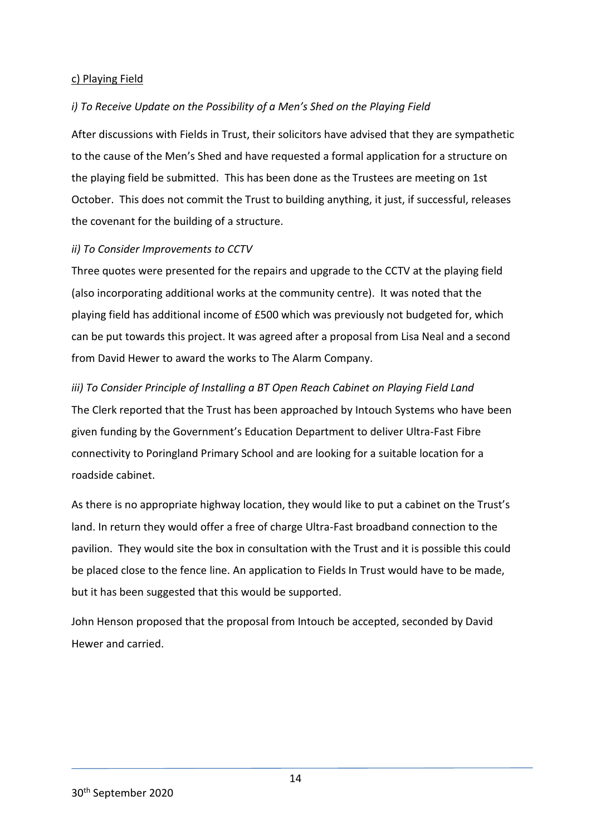#### c) Playing Field

#### *i) To Receive Update on the Possibility of a Men's Shed on the Playing Field*

After discussions with Fields in Trust, their solicitors have advised that they are sympathetic to the cause of the Men's Shed and have requested a formal application for a structure on the playing field be submitted. This has been done as the Trustees are meeting on 1st October. This does not commit the Trust to building anything, it just, if successful, releases the covenant for the building of a structure.

#### *ii) To Consider Improvements to CCTV*

Three quotes were presented for the repairs and upgrade to the CCTV at the playing field (also incorporating additional works at the community centre). It was noted that the playing field has additional income of £500 which was previously not budgeted for, which can be put towards this project. It was agreed after a proposal from Lisa Neal and a second from David Hewer to award the works to The Alarm Company.

#### *iii) To Consider Principle of Installing a BT Open Reach Cabinet on Playing Field Land*

The Clerk reported that the Trust has been approached by Intouch Systems who have been given funding by the Government's Education Department to deliver Ultra-Fast Fibre connectivity to Poringland Primary School and are looking for a suitable location for a roadside cabinet.

As there is no appropriate highway location, they would like to put a cabinet on the Trust's land. In return they would offer a free of charge Ultra-Fast broadband connection to the pavilion. They would site the box in consultation with the Trust and it is possible this could be placed close to the fence line. An application to Fields In Trust would have to be made, but it has been suggested that this would be supported.

John Henson proposed that the proposal from Intouch be accepted, seconded by David Hewer and carried.